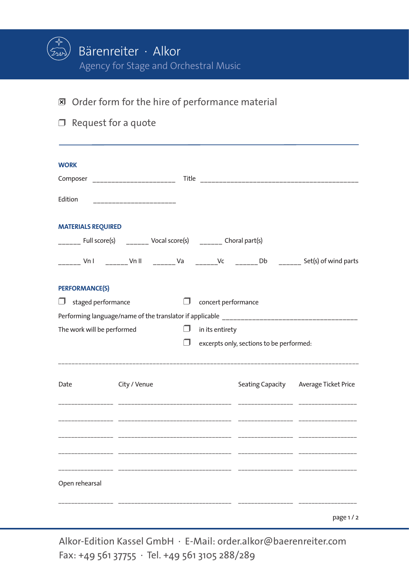

- $\Box$  Order form for the hire of performance material
- $\Box$  Request for a quote

| Edition                    | __________________________ |        |                     |                                          |                                                                                             |
|----------------------------|----------------------------|--------|---------------------|------------------------------------------|---------------------------------------------------------------------------------------------|
| <b>MATERIALS REQUIRED</b>  |                            |        |                     |                                          |                                                                                             |
|                            |                            |        |                     |                                          |                                                                                             |
|                            |                            |        |                     |                                          | ______ Vn I  _______ Vn II  _______ Va  _______Vc  _______ Db  _______ Set(s) of wind parts |
| <b>PERFORMANCE(S)</b>      |                            |        |                     |                                          |                                                                                             |
| staged performance<br>⋃    |                            | $\Box$ | concert performance |                                          |                                                                                             |
|                            |                            |        |                     |                                          |                                                                                             |
| The work will be performed |                            | $\Box$ | in its entirety     |                                          |                                                                                             |
|                            |                            |        |                     | excerpts only, sections to be performed: |                                                                                             |
|                            |                            |        |                     |                                          |                                                                                             |
| Date                       | City / Venue               |        |                     |                                          | Seating Capacity Average Ticket Price                                                       |
|                            |                            |        |                     |                                          |                                                                                             |
|                            |                            |        |                     |                                          |                                                                                             |
|                            |                            |        |                     |                                          |                                                                                             |
|                            |                            |        |                     |                                          |                                                                                             |
| Open rehearsal             |                            |        |                     |                                          |                                                                                             |
|                            |                            |        |                     |                                          |                                                                                             |
|                            |                            |        |                     |                                          | page 1/2                                                                                    |

Alkor-Edition Kassel GmbH · E-Mail: order.alkor@baerenreiter.com Fax: +49 561 37755 · Tel. +49 561 3105 288/289